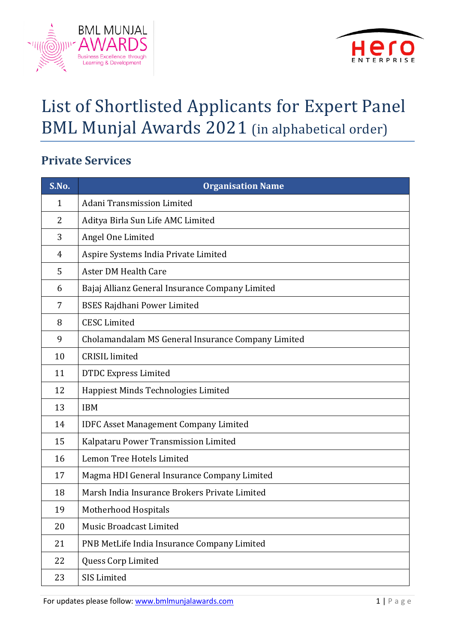



# List of Shortlisted Applicants for Expert Panel BML Munjal Awards 2021 (in alphabetical order)

### **Private Services**

| S.No.          | <b>Organisation Name</b>                           |
|----------------|----------------------------------------------------|
| $\mathbf{1}$   | Adani Transmission Limited                         |
| 2              | Aditya Birla Sun Life AMC Limited                  |
| 3              | Angel One Limited                                  |
| $\overline{4}$ | Aspire Systems India Private Limited               |
| 5              | <b>Aster DM Health Care</b>                        |
| 6              | Bajaj Allianz General Insurance Company Limited    |
| 7              | <b>BSES Rajdhani Power Limited</b>                 |
| 8              | <b>CESC Limited</b>                                |
| 9              | Cholamandalam MS General Insurance Company Limited |
| 10             | <b>CRISIL</b> limited                              |
| 11             | <b>DTDC Express Limited</b>                        |
| 12             | Happiest Minds Technologies Limited                |
| 13             | <b>IBM</b>                                         |
| 14             | <b>IDFC Asset Management Company Limited</b>       |
| 15             | Kalpataru Power Transmission Limited               |
| 16             | Lemon Tree Hotels Limited                          |
| 17             | Magma HDI General Insurance Company Limited        |
| 18             | Marsh India Insurance Brokers Private Limited      |
| 19             | Motherhood Hospitals                               |
| 20             | <b>Music Broadcast Limited</b>                     |
| 21             | PNB MetLife India Insurance Company Limited        |
| 22             | Quess Corp Limited                                 |
| 23             | SIS Limited                                        |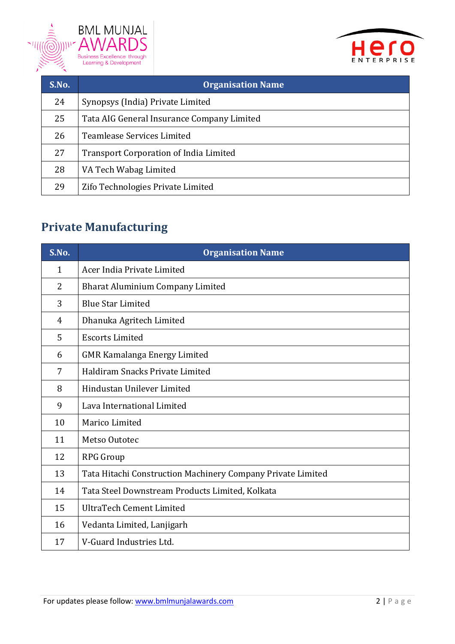



| S.No. | <b>Organisation Name</b>                      |
|-------|-----------------------------------------------|
| 24    | Synopsys (India) Private Limited              |
| 25    | Tata AIG General Insurance Company Limited    |
| 26    | <b>Teamlease Services Limited</b>             |
| 27    | <b>Transport Corporation of India Limited</b> |
| 28    | VA Tech Wabag Limited                         |
| 29    | Zifo Technologies Private Limited             |

### **Private Manufacturing**

| S.No. | <b>Organisation Name</b>                                    |
|-------|-------------------------------------------------------------|
| 1     | Acer India Private Limited                                  |
| 2     | <b>Bharat Aluminium Company Limited</b>                     |
| 3     | <b>Blue Star Limited</b>                                    |
| 4     | Dhanuka Agritech Limited                                    |
| 5     | <b>Escorts Limited</b>                                      |
| 6     | <b>GMR Kamalanga Energy Limited</b>                         |
| 7     | Haldiram Snacks Private Limited                             |
| 8     | Hindustan Unilever Limited                                  |
| 9     | Lava International Limited                                  |
| 10    | Marico Limited                                              |
| 11    | Metso Outotec                                               |
| 12    | <b>RPG Group</b>                                            |
| 13    | Tata Hitachi Construction Machinery Company Private Limited |
| 14    | Tata Steel Downstream Products Limited, Kolkata             |
| 15    | <b>UltraTech Cement Limited</b>                             |
| 16    | Vedanta Limited, Lanjigarh                                  |
| 17    | V-Guard Industries Ltd.                                     |